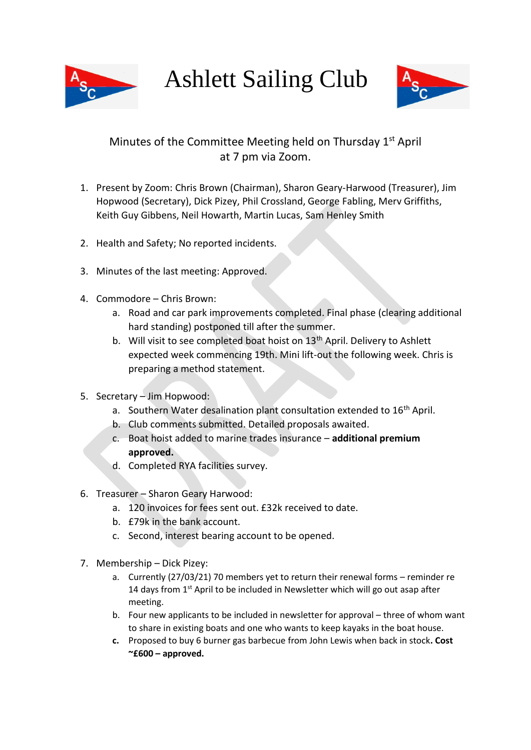

Ashlett Sailing Club



## Minutes of the Committee Meeting held on Thursday 1<sup>st</sup> April at 7 pm via Zoom.

- 1. Present by Zoom: Chris Brown (Chairman), Sharon Geary-Harwood (Treasurer), Jim Hopwood (Secretary), Dick Pizey, Phil Crossland, George Fabling, Merv Griffiths, Keith Guy Gibbens, Neil Howarth, Martin Lucas, Sam Henley Smith
- 2. Health and Safety; No reported incidents.
- 3. Minutes of the last meeting: Approved.
- 4. Commodore Chris Brown:
	- a. Road and car park improvements completed. Final phase (clearing additional hard standing) postponed till after the summer.
	- b. Will visit to see completed boat hoist on  $13<sup>th</sup>$  April. Delivery to Ashlett expected week commencing 19th. Mini lift-out the following week. Chris is preparing a method statement.
- 5. Secretary Jim Hopwood:
	- a. Southern Water desalination plant consultation extended to 16<sup>th</sup> April.
	- b. Club comments submitted. Detailed proposals awaited.
	- c. Boat hoist added to marine trades insurance **additional premium approved.**
	- d. Completed RYA facilities survey.
- 6. Treasurer Sharon Geary Harwood:
	- a. 120 invoices for fees sent out. £32k received to date.
	- b. £79k in the bank account.
	- c. Second, interest bearing account to be opened.
- 7. Membership Dick Pizey:
	- a. Currently (27/03/21) 70 members yet to return their renewal forms reminder re 14 days from  $1<sup>st</sup>$  April to be included in Newsletter which will go out asap after meeting.
	- b. Four new applicants to be included in newsletter for approval three of whom want to share in existing boats and one who wants to keep kayaks in the boat house.
	- **c.** Proposed to buy 6 burner gas barbecue from John Lewis when back in stock**. Cost ~£600 – approved.**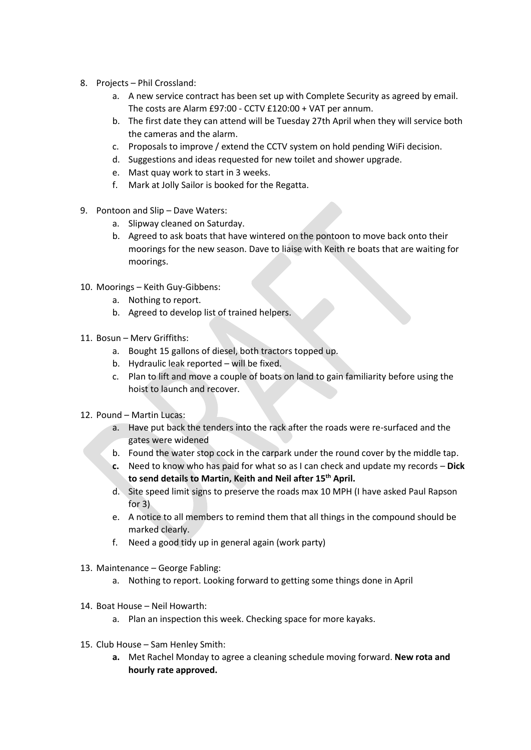- 8. Projects Phil Crossland:
	- a. A new service contract has been set up with Complete Security as agreed by email. The costs are Alarm £97:00 - CCTV £120:00 + VAT per annum.
	- b. The first date they can attend will be Tuesday 27th April when they will service both the cameras and the alarm.
	- c. Proposals to improve / extend the CCTV system on hold pending WiFi decision.
	- d. Suggestions and ideas requested for new toilet and shower upgrade.
	- e. Mast quay work to start in 3 weeks.
	- f. Mark at Jolly Sailor is booked for the Regatta.
- 9. Pontoon and Slip Dave Waters:
	- a. Slipway cleaned on Saturday.
	- b. Agreed to ask boats that have wintered on the pontoon to move back onto their moorings for the new season. Dave to liaise with Keith re boats that are waiting for moorings.
- 10. Moorings Keith Guy-Gibbens:
	- a. Nothing to report.
	- b. Agreed to develop list of trained helpers.
- 11. Bosun Merv Griffiths:
	- a. Bought 15 gallons of diesel, both tractors topped up.
	- b. Hydraulic leak reported will be fixed.
	- c. Plan to lift and move a couple of boats on land to gain familiarity before using the hoist to launch and recover.
- 12. Pound Martin Lucas:
	- a. Have put back the tenders into the rack after the roads were re-surfaced and the gates were widened
	- b. Found the water stop cock in the carpark under the round cover by the middle tap.
	- **c.** Need to know who has paid for what so as I can check and update my records **Dick to send details to Martin, Keith and Neil after 15th April.**
	- d. Site speed limit signs to preserve the roads max 10 MPH (I have asked Paul Rapson for 3)
	- e. A notice to all members to remind them that all things in the compound should be marked clearly.
	- f. Need a good tidy up in general again (work party)
- 13. Maintenance George Fabling:
	- a. Nothing to report. Looking forward to getting some things done in April
- 14. Boat House Neil Howarth:
	- a. Plan an inspection this week. Checking space for more kayaks.
- 15. Club House Sam Henley Smith:
	- **a.** Met Rachel Monday to agree a cleaning schedule moving forward. **New rota and hourly rate approved.**